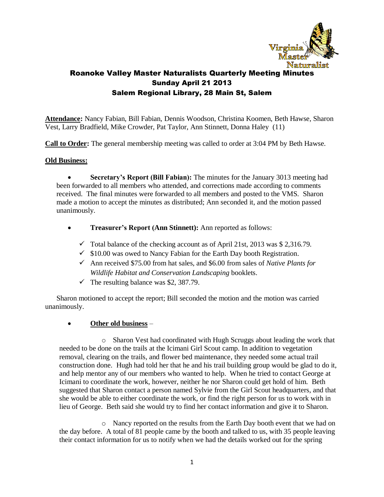

**Attendance:** Nancy Fabian, Bill Fabian, Dennis Woodson, Christina Koomen, Beth Hawse, Sharon Vest, Larry Bradfield, Mike Crowder, Pat Taylor, Ann Stinnett, Donna Haley (11)

**Call to Order:** The general membership meeting was called to order at 3:04 PM by Beth Hawse.

## **Old Business:**

 **Secretary's Report (Bill Fabian):** The minutes for the January 3013 meeting had been forwarded to all members who attended, and corrections made according to comments received. The final minutes were forwarded to all members and posted to the VMS. Sharon made a motion to accept the minutes as distributed; Ann seconded it, and the motion passed unanimously.

- **Treasurer's Report (Ann Stinnett):** Ann reported as follows:
	- $\checkmark$  Total balance of the checking account as of April 21st, 2013 was \$ 2,316.79.
	- $\checkmark$  \$10.00 was owed to Nancy Fabian for the Earth Day booth Registration.
	- Ann received \$75.00 from hat sales, and \$6.00 from sales of *Native Plants for Wildlife Habitat and Conservation Landscaping* booklets.
	- $\checkmark$  The resulting balance was \$2, 387.79.

Sharon motioned to accept the report; Bill seconded the motion and the motion was carried unanimously.

## **Other old business** –

o Sharon Vest had coordinated with Hugh Scruggs about leading the work that needed to be done on the trails at the Icimani Girl Scout camp. In addition to vegetation removal, clearing on the trails, and flower bed maintenance, they needed some actual trail construction done. Hugh had told her that he and his trail building group would be glad to do it, and help mentor any of our members who wanted to help. When he tried to contact George at Icimani to coordinate the work, however, neither he nor Sharon could get hold of him. Beth suggested that Sharon contact a person named Sylvie from the Girl Scout headquarters, and that she would be able to either coordinate the work, or find the right person for us to work with in lieu of George. Beth said she would try to find her contact information and give it to Sharon.

o Nancy reported on the results from the Earth Day booth event that we had on the day before. A total of 81 people came by the booth and talked to us, with 35 people leaving their contact information for us to notify when we had the details worked out for the spring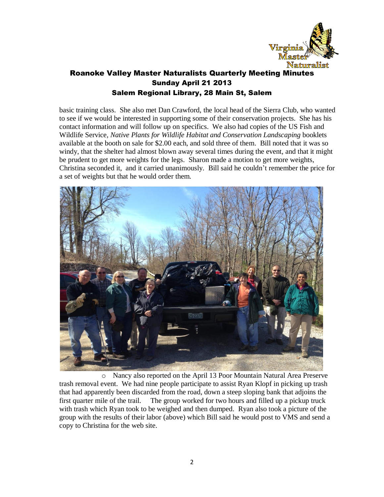

basic training class. She also met Dan Crawford, the local head of the Sierra Club, who wanted to see if we would be interested in supporting some of their conservation projects. She has his contact information and will follow up on specifics. We also had copies of the US Fish and Wildlife Service, *Native Plants for Wildlife Habitat and Conservation Landscaping* booklets available at the booth on sale for \$2.00 each, and sold three of them. Bill noted that it was so windy, that the shelter had almost blown away several times during the event, and that it might be prudent to get more weights for the legs. Sharon made a motion to get more weights, Christina seconded it, and it carried unanimously. Bill said he couldn't remember the price for a set of weights but that he would order them.



o Nancy also reported on the April 13 Poor Mountain Natural Area Preserve trash removal event. We had nine people participate to assist Ryan Klopf in picking up trash that had apparently been discarded from the road, down a steep sloping bank that adjoins the first quarter mile of the trail. The group worked for two hours and filled up a pickup truck with trash which Ryan took to be weighed and then dumped. Ryan also took a picture of the group with the results of their labor (above) which Bill said he would post to VMS and send a copy to Christina for the web site.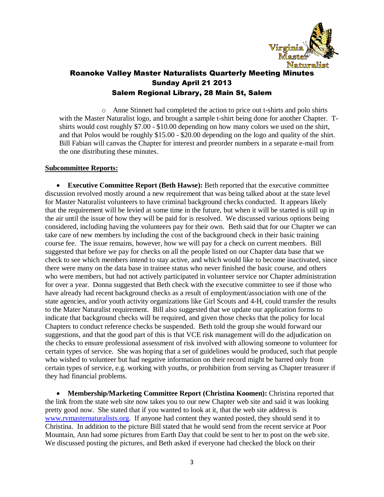

o Anne Stinnett had completed the action to price out t-shirts and polo shirts with the Master Naturalist logo, and brought a sample t-shirt being done for another Chapter. Tshirts would cost roughly \$7.00 - \$10.00 depending on how many colors we used on the shirt, and that Polos would be roughly \$15.00 - \$20.00 depending on the logo and quality of the shirt. Bill Fabian will canvas the Chapter for interest and preorder numbers in a separate e-mail from the one distributing these minutes.

#### **Subcommittee Reports:**

 **Executive Committee Report (Beth Hawse):** Beth reported that the executive committee discussion revolved mostly around a new requirement that was being talked about at the state level for Master Naturalist volunteers to have criminal background checks conducted. It appears likely that the requirement will be levied at some time in the future, but when it will be started is still up in the air until the issue of how they will be paid for is resolved. We discussed various options being considered, including having the volunteers pay for their own. Beth said that for our Chapter we can take care of new members by including the cost of the background check in their basic training course fee. The issue remains, however, how we will pay for a check on current members. Bill suggested that before we pay for checks on all the people listed on our Chapter data base that we check to see which members intend to stay active, and which would like to become inactivated, since there were many on the data base in trainee status who never finished the basic course, and others who were members, but had not actively participated in volunteer service nor Chapter administration for over a year. Donna suggested that Beth check with the executive committee to see if those who have already had recent background checks as a result of employment/association with one of the state agencies, and/or youth activity organizations like Girl Scouts and 4-H, could transfer the results to the Mater Naturalist requirement. Bill also suggested that we update our application forms to indicate that background checks will be required, and given those checks that the policy for local Chapters to conduct reference checks be suspended. Beth told the group she would forward our suggestions, and that the good part of this is that VCE risk management will do the adjudication on the checks to ensure professional assessment of risk involved with allowing someone to volunteer for certain types of service. She was hoping that a set of guidelines would be produced, such that people who wished to volunteer but had negative information on their record might be barred only from certain types of service, e.g. working with youths, or prohibition from serving as Chapter treasurer if they had financial problems.

 **Membership/Marketing Committee Report (Christina Koomen):** Christina reported that the link from the state web site now takes you to our new Chapter web site and said it was looking pretty good now. She stated that if you wanted to look at it, that the web site address is [www.rvmasternaturalists.org.](http://www.rvmasternaturalists.org/) If anyone had content they wanted posted, they should send it to Christina. In addition to the picture Bill stated that he would send from the recent service at Poor Mountain, Ann had some pictures from Earth Day that could be sent to her to post on the web site. We discussed posting the pictures, and Beth asked if everyone had checked the block on their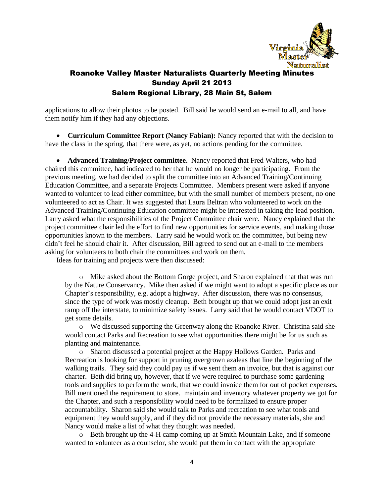

applications to allow their photos to be posted. Bill said he would send an e-mail to all, and have them notify him if they had any objections.

 **Curriculum Committee Report (Nancy Fabian):** Nancy reported that with the decision to have the class in the spring, that there were, as yet, no actions pending for the committee.

 **Advanced Training/Project committee.** Nancy reported that Fred Walters, who had chaired this committee, had indicated to her that he would no longer be participating. From the previous meeting, we had decided to split the committee into an Advanced Training/Continuing Education Committee, and a separate Projects Committee. Members present were asked if anyone wanted to volunteer to lead either committee, but with the small number of members present, no one volunteered to act as Chair. It was suggested that Laura Beltran who volunteered to work on the Advanced Training/Continuing Education committee might be interested in taking the lead position. Larry asked what the responsibilities of the Project Committee chair were. Nancy explained that the project committee chair led the effort to find new opportunities for service events, and making those opportunities known to the members. Larry said he would work on the committee, but being new didn't feel he should chair it. After discussion, Bill agreed to send out an e-mail to the members asking for volunteers to both chair the committees and work on them.

Ideas for training and projects were then discussed:

o Mike asked about the Bottom Gorge project, and Sharon explained that that was run by the Nature Conservancy. Mike then asked if we might want to adopt a specific place as our Chapter's responsibility, e.g. adopt a highway. After discussion, there was no consensus, since the type of work was mostly cleanup. Beth brought up that we could adopt just an exit ramp off the interstate, to minimize safety issues. Larry said that he would contact VDOT to get some details.

o We discussed supporting the Greenway along the Roanoke River. Christina said she would contact Parks and Recreation to see what opportunities there might be for us such as planting and maintenance.

o Sharon discussed a potential project at the Happy Hollows Garden. Parks and Recreation is looking for support in pruning overgrown azaleas that line the beginning of the walking trails. They said they could pay us if we sent them an invoice, but that is against our charter. Beth did bring up, however, that if we were required to purchase some gardening tools and supplies to perform the work, that we could invoice them for out of pocket expenses. Bill mentioned the requirement to store. maintain and inventory whatever property we got for the Chapter, and such a responsibility would need to be formalized to ensure proper accountability. Sharon said she would talk to Parks and recreation to see what tools and equipment they would supply, and if they did not provide the necessary materials, she and Nancy would make a list of what they thought was needed.

o Beth brought up the 4-H camp coming up at Smith Mountain Lake, and if someone wanted to volunteer as a counselor, she would put them in contact with the appropriate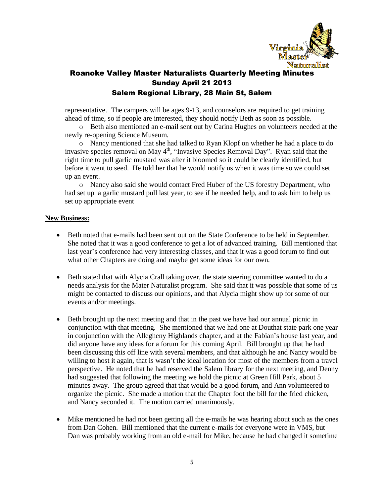

representative. The campers will be ages 9-13, and counselors are required to get training ahead of time, so if people are interested, they should notify Beth as soon as possible.

o Beth also mentioned an e-mail sent out by Carina Hughes on volunteers needed at the newly re-opening Science Museum.

o Nancy mentioned that she had talked to Ryan Klopf on whether he had a place to do invasive species removal on May  $4<sup>th</sup>$ , "Invasive Species Removal Day". Ryan said that the right time to pull garlic mustard was after it bloomed so it could be clearly identified, but before it went to seed. He told her that he would notify us when it was time so we could set up an event.

o Nancy also said she would contact Fred Huber of the US forestry Department, who had set up a garlic mustard pull last year, to see if he needed help, and to ask him to help us set up appropriate event

#### **New Business:**

- Beth noted that e-mails had been sent out on the State Conference to be held in September. She noted that it was a good conference to get a lot of advanced training. Bill mentioned that last year's conference had very interesting classes, and that it was a good forum to find out what other Chapters are doing and maybe get some ideas for our own.
- Beth stated that with Alycia Crall taking over, the state steering committee wanted to do a needs analysis for the Mater Naturalist program. She said that it was possible that some of us might be contacted to discuss our opinions, and that Alycia might show up for some of our events and/or meetings.
- Beth brought up the next meeting and that in the past we have had our annual picnic in conjunction with that meeting. She mentioned that we had one at Douthat state park one year in conjunction with the Allegheny Highlands chapter, and at the Fabian's house last year, and did anyone have any ideas for a forum for this coming April. Bill brought up that he had been discussing this off line with several members, and that although he and Nancy would be willing to host it again, that is wasn't the ideal location for most of the members from a travel perspective. He noted that he had reserved the Salem library for the next meeting, and Denny had suggested that following the meeting we hold the picnic at Green Hill Park, about 5 minutes away. The group agreed that that would be a good forum, and Ann volunteered to organize the picnic. She made a motion that the Chapter foot the bill for the fried chicken, and Nancy seconded it. The motion carried unanimously.
- Mike mentioned he had not been getting all the e-mails he was hearing about such as the ones from Dan Cohen. Bill mentioned that the current e-mails for everyone were in VMS, but Dan was probably working from an old e-mail for Mike, because he had changed it sometime